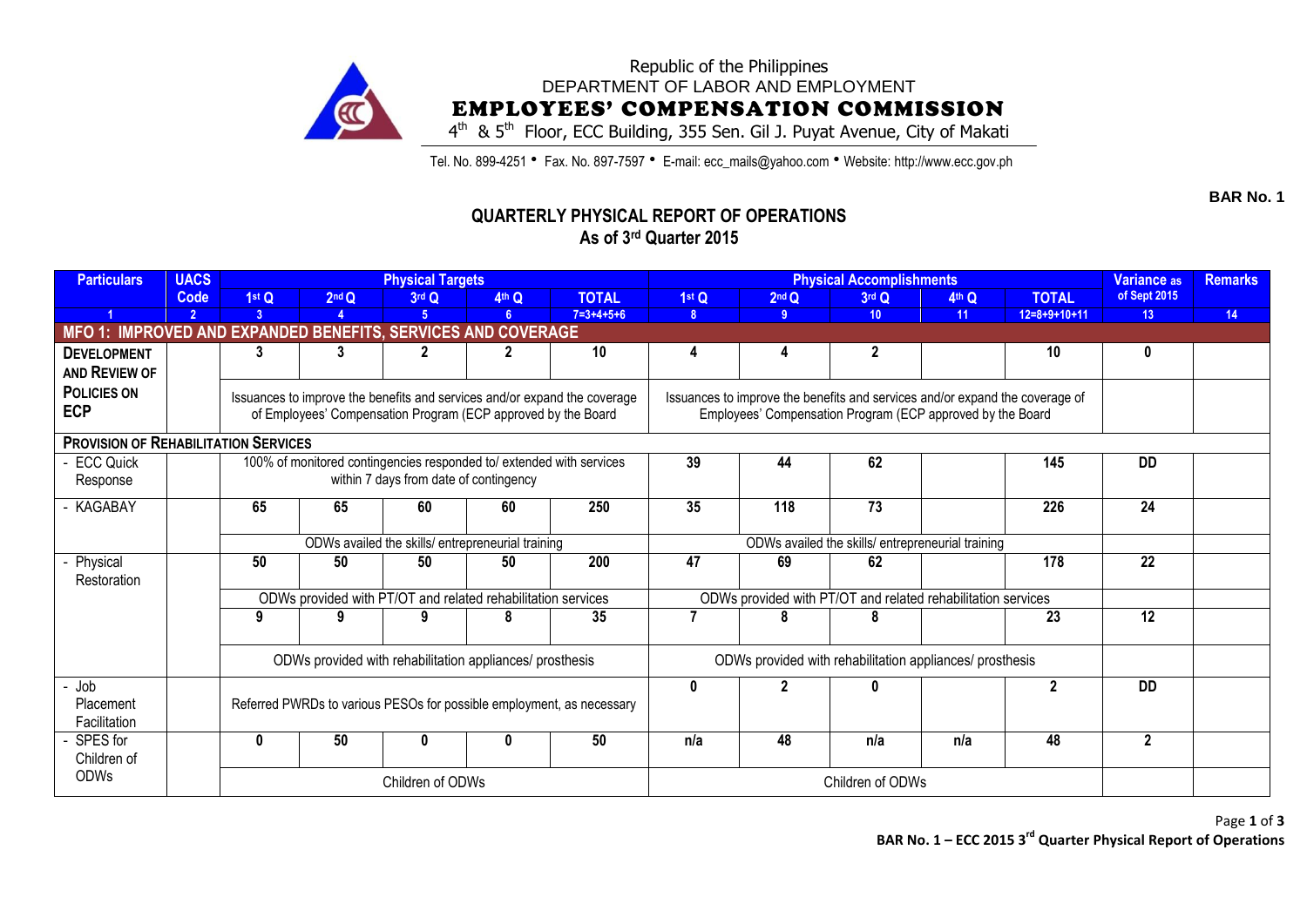

## Republic of the Philippines DEPARTMENT OF LABOR AND EMPLOYMENT EMPLOYEES' COMPENSATION COMMISSION

4<sup>th</sup> & 5<sup>th</sup> Floor, ECC Building, 355 Sen. Gil J. Puyat Avenue, City of Makati

Tel. No. 899-4251 • Fax. No. 897-7597 • E-mail: ecc\_mails@yahoo.com • Website: http://www.ecc.gov.ph

## **QUARTERLY PHYSICAL REPORT OF OPERATIONS As of 3 rd Quarter 2015**

| <b>Particulars</b>                                           | <b>UACS</b>    |                                                                                                                                                           |                                                               | <b>Physical Targets</b>                           |                   |                                                                       |                                                          | <b>Physical Accomplishments</b>                   | Variance as                                                  | <b>Remarks</b> |                |                         |    |
|--------------------------------------------------------------|----------------|-----------------------------------------------------------------------------------------------------------------------------------------------------------|---------------------------------------------------------------|---------------------------------------------------|-------------------|-----------------------------------------------------------------------|----------------------------------------------------------|---------------------------------------------------|--------------------------------------------------------------|----------------|----------------|-------------------------|----|
|                                                              | <b>Code</b>    | 1stQ                                                                                                                                                      | 2 <sup>nd</sup> Q                                             | 3rd Q                                             | 4 <sup>th</sup> Q | <b>TOTAL</b>                                                          | 1stQ                                                     | $2nd$ Q                                           | 3rd Q                                                        | 4th Q          | <b>TOTAL</b>   | of Sept 2015            |    |
|                                                              | $\overline{2}$ | 3                                                                                                                                                         |                                                               | 5                                                 | 6.                | $7=3+4+5+6$                                                           | 8 <sup>1</sup>                                           | -9                                                | 10 <sup>1</sup>                                              | 11             | $12=8+9+10+11$ | 13 <sup>°</sup>         | 14 |
| MFO 1: IMPROVED AND EXPANDED BENEFITS, SERVICES AND COVERAGE |                |                                                                                                                                                           |                                                               |                                                   |                   |                                                                       |                                                          |                                                   |                                                              |                |                |                         |    |
| <b>DEVELOPMENT</b>                                           |                | 3                                                                                                                                                         | 3                                                             |                                                   |                   | 10                                                                    |                                                          | 4                                                 | $\mathbf{2}$                                                 |                | 10             | 0                       |    |
| AND REVIEW OF                                                |                |                                                                                                                                                           |                                                               |                                                   |                   |                                                                       |                                                          |                                                   |                                                              |                |                |                         |    |
| <b>POLICIES ON</b>                                           |                | Issuances to improve the benefits and services and/or expand the coverage<br>Issuances to improve the benefits and services and/or expand the coverage of |                                                               |                                                   |                   |                                                                       |                                                          |                                                   |                                                              |                |                |                         |    |
| <b>ECP</b>                                                   |                |                                                                                                                                                           | of Employees' Compensation Program (ECP approved by the Board |                                                   |                   |                                                                       |                                                          |                                                   | Employees' Compensation Program (ECP approved by the Board   |                |                |                         |    |
|                                                              |                |                                                                                                                                                           |                                                               |                                                   |                   |                                                                       |                                                          |                                                   |                                                              |                |                |                         |    |
| <b>PROVISION OF REHABILITATION SERVICES</b>                  |                |                                                                                                                                                           |                                                               |                                                   |                   |                                                                       |                                                          |                                                   |                                                              |                |                |                         |    |
| <b>ECC Quick</b>                                             |                | 100% of monitored contingencies responded to/ extended with services                                                                                      |                                                               |                                                   |                   |                                                                       | 39                                                       | 44                                                | 62                                                           |                | 145            | <b>DD</b>               |    |
| Response                                                     |                |                                                                                                                                                           |                                                               | within 7 days from date of contingency            |                   |                                                                       |                                                          |                                                   |                                                              |                |                |                         |    |
| KAGABAY                                                      |                | 65                                                                                                                                                        | 65                                                            | 60                                                | 60                | 250                                                                   | 35                                                       | 118                                               | 73                                                           |                | 226            | 24                      |    |
|                                                              |                |                                                                                                                                                           |                                                               |                                                   |                   |                                                                       |                                                          |                                                   |                                                              |                |                |                         |    |
|                                                              |                |                                                                                                                                                           |                                                               | ODWs availed the skills/ entrepreneurial training |                   |                                                                       |                                                          | ODWs availed the skills/ entrepreneurial training |                                                              |                |                |                         |    |
|                                                              |                | 50                                                                                                                                                        | 50                                                            | 50                                                | 50                | $\overline{200}$                                                      | 47                                                       | 69                                                | 62                                                           |                | 178            | 22                      |    |
| Physical<br>Restoration                                      |                |                                                                                                                                                           |                                                               |                                                   |                   |                                                                       |                                                          |                                                   |                                                              |                |                |                         |    |
|                                                              |                |                                                                                                                                                           | ODWs provided with PT/OT and related rehabilitation services  |                                                   |                   |                                                                       |                                                          |                                                   | ODWs provided with PT/OT and related rehabilitation services |                |                |                         |    |
|                                                              |                | 9                                                                                                                                                         | 9                                                             | 9                                                 | 8                 | 35                                                                    | $\overline{\phantom{a}}$                                 | 8                                                 | 8                                                            |                | 23             | 12                      |    |
|                                                              |                |                                                                                                                                                           |                                                               |                                                   |                   |                                                                       |                                                          |                                                   |                                                              |                |                |                         |    |
|                                                              |                |                                                                                                                                                           |                                                               |                                                   |                   |                                                                       |                                                          |                                                   |                                                              |                |                |                         |    |
|                                                              |                |                                                                                                                                                           | ODWs provided with rehabilitation appliances/ prosthesis      |                                                   |                   |                                                                       | ODWs provided with rehabilitation appliances/ prosthesis |                                                   |                                                              |                |                |                         |    |
| Job                                                          |                |                                                                                                                                                           |                                                               |                                                   |                   |                                                                       | $\mathbf{0}$                                             |                                                   | ŋ                                                            |                | $\mathbf 2$    | <b>DD</b>               |    |
| <b>Placement</b>                                             |                |                                                                                                                                                           |                                                               |                                                   |                   | Referred PWRDs to various PESOs for possible employment, as necessary |                                                          |                                                   |                                                              |                |                |                         |    |
| Facilitation                                                 |                |                                                                                                                                                           |                                                               |                                                   |                   |                                                                       |                                                          |                                                   |                                                              |                |                |                         |    |
| SPES for                                                     |                | $\bf{0}$                                                                                                                                                  | 50                                                            | 0                                                 |                   | 50                                                                    | n/a                                                      | 48                                                | n/a                                                          | n/a            | 48             | $\overline{\mathbf{2}}$ |    |
| Children of                                                  |                |                                                                                                                                                           |                                                               |                                                   |                   |                                                                       |                                                          |                                                   |                                                              |                |                |                         |    |
| <b>ODWs</b>                                                  |                |                                                                                                                                                           |                                                               | Children of ODWs                                  |                   |                                                                       | Children of ODWs                                         |                                                   |                                                              |                |                |                         |    |
|                                                              |                |                                                                                                                                                           |                                                               |                                                   |                   |                                                                       |                                                          |                                                   |                                                              |                |                |                         |    |

**BAR No. 1**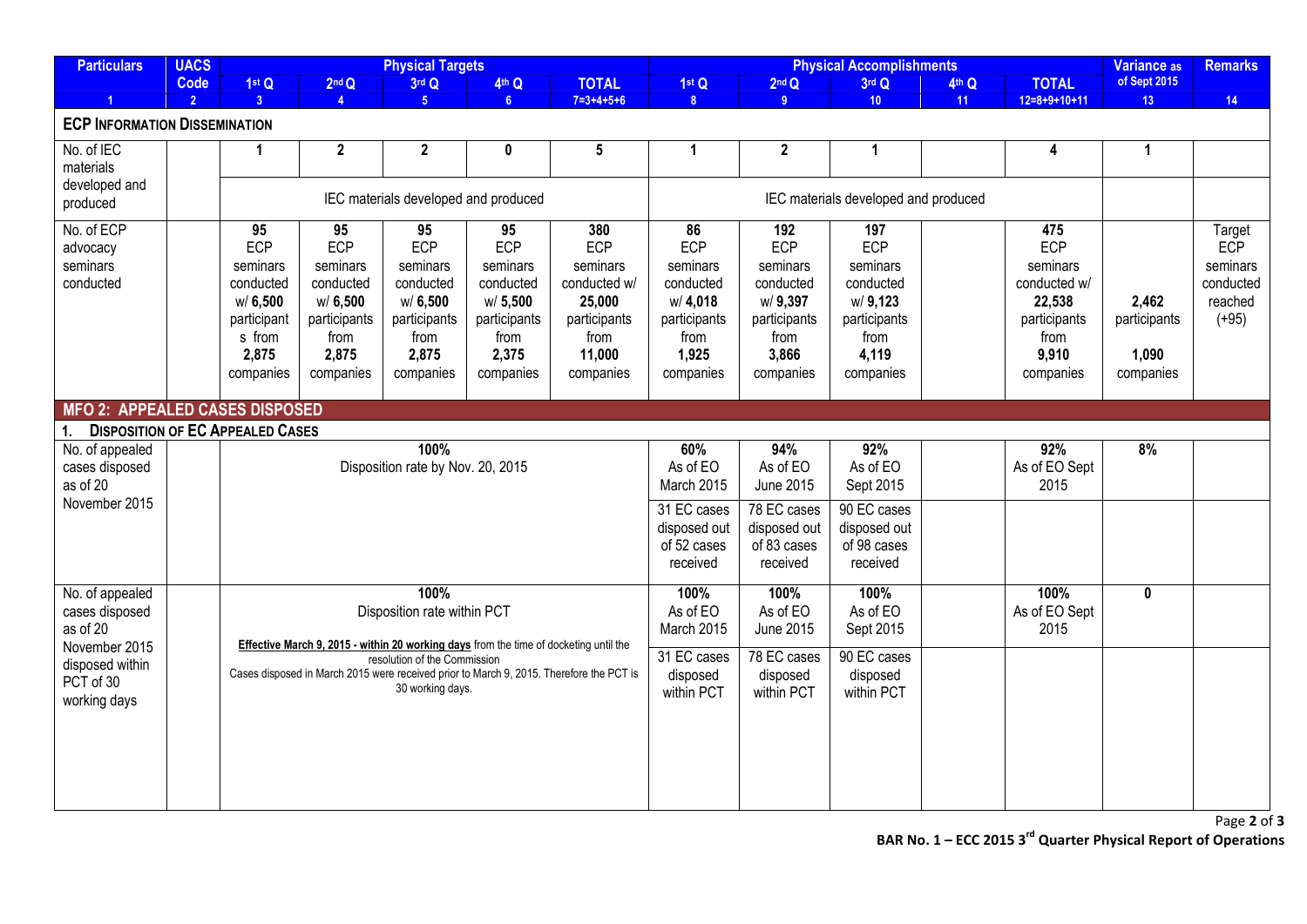| <b>Particulars</b>                                                                                                                                                                             | <b>UACS</b>    |                                                                                                                  |                                                                                             | <b>Physical Targets</b>                                                                     |                                                                                             |                                                                                                 |                                                                                                                 | <b>Variance as</b>                                                                                  | <b>Remarks</b>                                                                                |       |                                                                                                |                                             |                                                                     |
|------------------------------------------------------------------------------------------------------------------------------------------------------------------------------------------------|----------------|------------------------------------------------------------------------------------------------------------------|---------------------------------------------------------------------------------------------|---------------------------------------------------------------------------------------------|---------------------------------------------------------------------------------------------|-------------------------------------------------------------------------------------------------|-----------------------------------------------------------------------------------------------------------------|-----------------------------------------------------------------------------------------------------|-----------------------------------------------------------------------------------------------|-------|------------------------------------------------------------------------------------------------|---------------------------------------------|---------------------------------------------------------------------|
|                                                                                                                                                                                                | Code           | 1st Q                                                                                                            | 2 <sup>nd</sup> Q                                                                           | 3rd Q                                                                                       | 4th Q                                                                                       | <b>TOTAL</b>                                                                                    | 1st Q                                                                                                           | 2 <sup>nd</sup> Q                                                                                   | 3rd Q                                                                                         | 4th Q | <b>TOTAL</b>                                                                                   | of Sept 2015                                |                                                                     |
| $\overline{1}$                                                                                                                                                                                 | $\overline{2}$ | 3 <sup>°</sup>                                                                                                   | $\mathbf{A}$                                                                                | 5 <sup>1</sup>                                                                              | 6 <sup>1</sup>                                                                              | $7 = 3 + 4 + 5 + 6$                                                                             | 8 <sup>°</sup>                                                                                                  | 9                                                                                                   | 10 <sup>1</sup>                                                                               | 11    | $12=8+9+10+11$                                                                                 | 13 <sup>°</sup>                             | 14                                                                  |
| <b>ECP INFORMATION DISSEMINATION</b>                                                                                                                                                           |                |                                                                                                                  |                                                                                             |                                                                                             |                                                                                             |                                                                                                 |                                                                                                                 |                                                                                                     |                                                                                               |       |                                                                                                |                                             |                                                                     |
| No. of IEC<br>materials<br>developed and<br>produced                                                                                                                                           |                | $\mathbf{1}$                                                                                                     | $\mathbf{2}$                                                                                | $\mathbf{2}$                                                                                | 0                                                                                           | 5                                                                                               | 1                                                                                                               | $\boldsymbol{2}$                                                                                    | 1                                                                                             |       | 4                                                                                              | $\mathbf 1$                                 |                                                                     |
|                                                                                                                                                                                                |                |                                                                                                                  |                                                                                             | IEC materials developed and produced                                                        |                                                                                             |                                                                                                 |                                                                                                                 | IEC materials developed and produced                                                                |                                                                                               |       |                                                                                                |                                             |                                                                     |
| No. of ECP<br>advocacy<br>seminars<br>conducted                                                                                                                                                |                | $\overline{95}$<br><b>ECP</b><br>seminars<br>conducted<br>w/6,500<br>participant<br>s from<br>2,875<br>companies | 95<br>ECP<br>seminars<br>conducted<br>W/6,500<br>participants<br>from<br>2,875<br>companies | 95<br>ECP<br>seminars<br>conducted<br>w/6,500<br>participants<br>from<br>2,875<br>companies | 95<br>ECP<br>seminars<br>conducted<br>w/5,500<br>participants<br>from<br>2,375<br>companies | 380<br>ECP<br>seminars<br>conducted w/<br>25,000<br>participants<br>from<br>11,000<br>companies | $\overline{86}$<br><b>ECP</b><br>seminars<br>conducted<br>w/4,018<br>participants<br>from<br>1,925<br>companies | 192<br><b>ECP</b><br>seminars<br>conducted<br>w/9,397<br>participants<br>from<br>3,866<br>companies | 197<br>ECP<br>seminars<br>conducted<br>w/ 9,123<br>participants<br>from<br>4,119<br>companies |       | 475<br>ECP<br>seminars<br>conducted w/<br>22,538<br>participants<br>from<br>9,910<br>companies | 2,462<br>participants<br>1,090<br>companies | Target<br><b>ECP</b><br>seminars<br>conducted<br>reached<br>$(+95)$ |
| <b>MFO 2: APPEALED CASES DISPOSED</b>                                                                                                                                                          |                |                                                                                                                  |                                                                                             |                                                                                             |                                                                                             |                                                                                                 |                                                                                                                 |                                                                                                     |                                                                                               |       |                                                                                                |                                             |                                                                     |
| <b>DISPOSITION OF EC APPEALED CASES</b><br>1.                                                                                                                                                  |                |                                                                                                                  |                                                                                             |                                                                                             |                                                                                             |                                                                                                 |                                                                                                                 |                                                                                                     |                                                                                               |       |                                                                                                |                                             |                                                                     |
| No. of appealed<br>cases disposed<br>as of 20<br>November 2015                                                                                                                                 |                |                                                                                                                  |                                                                                             | 100%<br>Disposition rate by Nov. 20, 2015                                                   |                                                                                             |                                                                                                 | 60%<br>As of EO<br>March 2015                                                                                   | 94%<br>As of EO<br>June 2015                                                                        | 92%<br>As of EO<br>Sept 2015                                                                  |       | 92%<br>As of EO Sept<br>2015                                                                   | 8%                                          |                                                                     |
|                                                                                                                                                                                                |                |                                                                                                                  |                                                                                             |                                                                                             |                                                                                             |                                                                                                 | 31 EC cases<br>disposed out<br>of 52 cases<br>received                                                          | 78 EC cases<br>disposed out<br>of 83 cases<br>received                                              | 90 EC cases<br>disposed out<br>of 98 cases<br>received                                        |       |                                                                                                |                                             |                                                                     |
| 100%<br>No. of appealed<br>cases disposed<br>Disposition rate within PCT<br>as of 20<br>Effective March 9, 2015 - within 20 working days from the time of docketing until the<br>November 2015 |                |                                                                                                                  |                                                                                             |                                                                                             |                                                                                             |                                                                                                 | 100%<br>As of EO<br>March 2015                                                                                  | 100%<br>As of EO<br>June 2015                                                                       | 100%<br>As of EO<br>Sept 2015                                                                 |       | 100%<br>As of EO Sept<br>2015                                                                  | 0                                           |                                                                     |
| disposed within<br>PCT of 30<br>working days                                                                                                                                                   |                |                                                                                                                  |                                                                                             | resolution of the Commission<br>30 working days.                                            |                                                                                             | Cases disposed in March 2015 were received prior to March 9, 2015. Therefore the PCT is         | 31 EC cases<br>disposed<br>within PCT                                                                           | 78 EC cases<br>disposed<br>within PCT                                                               | 90 EC cases<br>disposed<br>within PCT                                                         |       |                                                                                                |                                             |                                                                     |
|                                                                                                                                                                                                |                |                                                                                                                  |                                                                                             |                                                                                             |                                                                                             |                                                                                                 |                                                                                                                 |                                                                                                     |                                                                                               |       |                                                                                                |                                             |                                                                     |